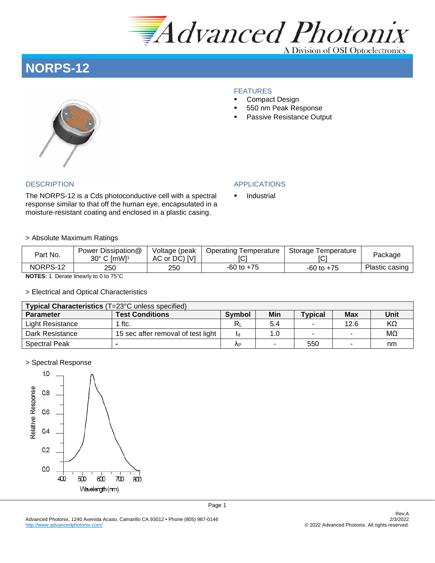

A Division of OSI Optoelectronics

# **NORPS-12**

# FEATURES

- Compact Design
- 550 nm Peak Response
- Passive Resistance Output

The NORPS-12 is a Cds photoconductive cell with a spectral response similar to that off the human eye, encapsulated in a moisture-resistant coating and enclosed in a plastic casing.

### DESCRIPTION APPLICATIONS

**Industrial** 

#### **>** Absolute Maximum Ratings

| Part No.                   | Power Dissipation@<br>30° C [mW] <sup>1</sup> | Voltage (peak<br>AC or DC) [V] | Operating Temperature<br>IC. | Storage Temperature | Package        |  |  |  |  |
|----------------------------|-----------------------------------------------|--------------------------------|------------------------------|---------------------|----------------|--|--|--|--|
| NORPS-12                   | 250                                           | 250                            | $-60$ to $+75$               | $-60$ to $+75$      | Plastic casing |  |  |  |  |
| $\cdots$<br>$\sim$ $ \sim$ |                                               |                                |                              |                     |                |  |  |  |  |

**NOTES:** 1. Derate linearly to 0 to 75°C

### **>** Electrical and Optical Characteristics

| Typical Characteristics (T=23°C unless specified) |                                    |               |     |                |            |      |  |  |  |  |
|---------------------------------------------------|------------------------------------|---------------|-----|----------------|------------|------|--|--|--|--|
| <b>Parameter</b>                                  | <b>Test Conditions</b>             | <b>Symbol</b> | Min | <b>Typical</b> | <b>Max</b> | Unit |  |  |  |  |
| Light Resistance                                  | ftc.                               | $R_1$         | 5.4 | ۰              | 12.6       | KΩ   |  |  |  |  |
| Dark Resistance                                   | 15 sec after removal of test light |               | 1.0 | ٠              |            | MΩ   |  |  |  |  |
| <b>Spectral Peak</b>                              |                                    | ٨P            |     | 550            |            | nm   |  |  |  |  |

#### **>** Spectral Response

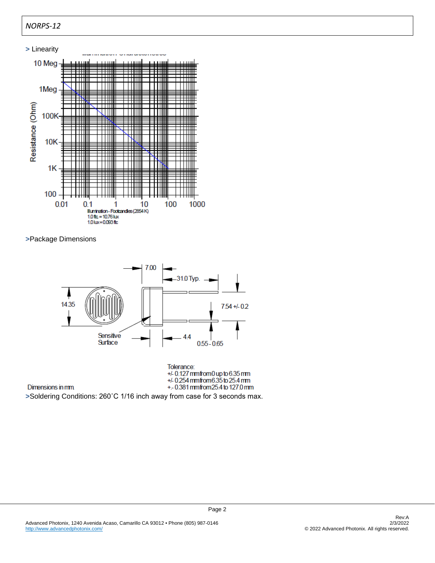# *NORPS-12*



**>**Package Dimensions

Dimensions in mm



Tolerance:  $+/-0.127$  mmfrom 0 up to 6.35 mm +/-0254 mmfrom 6.35 to 25.4 mm +.-0.381 mmfrom 25.4 to 127.0 mm

Page 2

**>**Soldering Conditions: 260˚C 1/16 inch away from case for 3 seconds max.